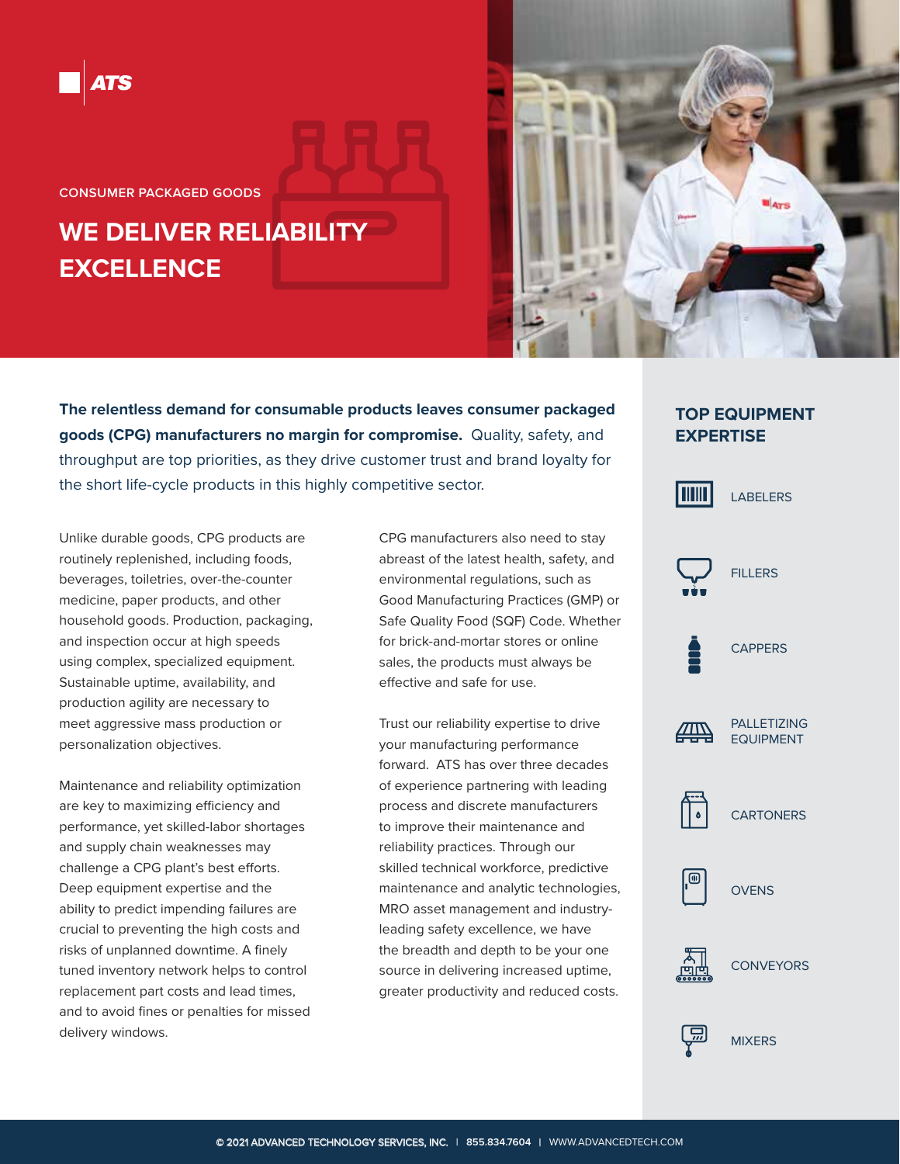

**CONSUMER PACKAGED GOODS** 

# **WE DELIVER RELIABILITY EXCELLENCE**



**The relentless demand for consumable products leaves consumer packaged goods (CPG) manufacturers no margin for compromise.** Quality, safety, and throughput are top priorities, as they drive customer trust and brand loyalty for the short life-cycle products in this highly competitive sector.

Unlike durable goods, CPG products are routinely replenished, including foods, beverages, toiletries, over-the-counter medicine, paper products, and other household goods. Production, packaging, and inspection occur at high speeds using complex, specialized equipment. Sustainable uptime, availability, and production agility are necessary to meet aggressive mass production or personalization objectives.

Maintenance and reliability optimization are key to maximizing efficiency and performance, yet skilled-labor shortages and supply chain weaknesses may challenge a CPG plant's best efforts. Deep equipment expertise and the ability to predict impending failures are crucial to preventing the high costs and risks of unplanned downtime. A finely tuned inventory network helps to control replacement part costs and lead times, and to avoid fines or penalties for missed delivery windows.

CPG manufacturers also need to stay abreast of the latest health, safety, and environmental regulations, such as Good Manufacturing Practices (GMP) or Safe Quality Food (SQF) Code. Whether for brick-and-mortar stores or online sales, the products must always be effective and safe for use.

Trust our reliability expertise to drive your manufacturing performance forward. ATS has over three decades of experience partnering with leading process and discrete manufacturers to improve their maintenance and reliability practices. Through our skilled technical workforce, predictive maintenance and analytic technologies, MRO asset management and industryleading safety excellence, we have the breadth and depth to be your one source in delivering increased uptime, greater productivity and reduced costs.

## **TOP EQUIPMENT EXPERTISE**